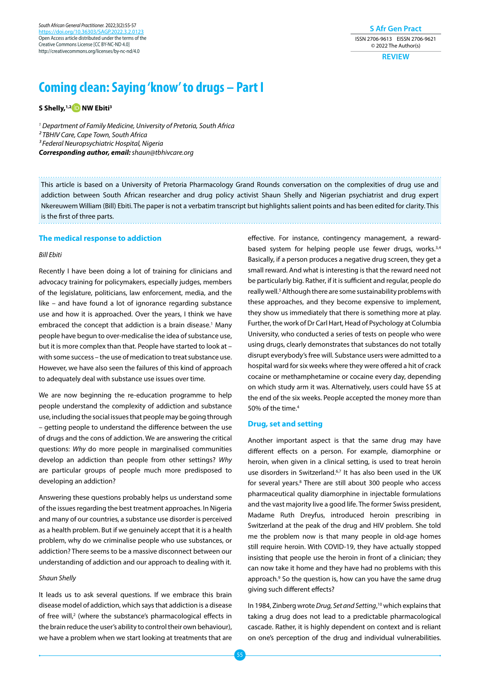**S Afr Gen Pract** ISSN 2706-9613 EISSN 2706-9621 © 2022 The Author(s)

**REVIEW**

# **Coming clean: Saying 'know' to drugs – Part I**

**S Shelly,1,[2 N](https://orcid.org/0000-0002-8199-876X)W Ebiti3**

*1 Department of Family Medicine, University of Pretoria, South Africa 2 TBHIV Care, Cape Town, South Africa 3 Federal Neuropsychiatric Hospital, Nigeria Corresponding author, email: shaun@tbhivcare.org*

This article is based on a University of Pretoria Pharmacology Grand Rounds conversation on the complexities of drug use and addiction between South African researcher and drug policy activist Shaun Shelly and Nigerian psychiatrist and drug expert Nkereuwem William (Bill) Ebiti. The paper is not a verbatim transcript but highlights salient points and has been edited for clarity. This is the first of three parts.

# **The medical response to addiction**

# *Bill Ebiti*

Recently I have been doing a lot of training for clinicians and advocacy training for policymakers, especially judges, members of the legislature, politicians, law enforcement, media, and the like – and have found a lot of ignorance regarding substance use and how it is approached. Over the years, I think we have embraced the concept that addiction is a brain disease.<sup>1</sup> Many people have begun to over-medicalise the idea of substance use, but it is more complex than that. People have started to look at – with some success – the use of medication to treat substance use. However, we have also seen the failures of this kind of approach to adequately deal with substance use issues over time.

We are now beginning the re-education programme to help people understand the complexity of addiction and substance use, including the social issues that people may be going through – getting people to understand the difference between the use of drugs and the cons of addiction. We are answering the critical questions: *Why* do more people in marginalised communities develop an addiction than people from other settings? *Why* are particular groups of people much more predisposed to developing an addiction?

Answering these questions probably helps us understand some of the issues regarding the best treatment approaches. In Nigeria and many of our countries, a substance use disorder is perceived as a health problem. But if we genuinely accept that it is a health problem, why do we criminalise people who use substances, or addiction? There seems to be a massive disconnect between our understanding of addiction and our approach to dealing with it.

# *Shaun Shelly*

It leads us to ask several questions. If we embrace this brain disease model of addiction, which says that addiction is a disease of free will,<sup>2</sup> (where the substance's pharmacological effects in the brain reduce the user's ability to control their own behaviour), we have a problem when we start looking at treatments that are

effective. For instance, contingency management, a rewardbased system for helping people use fewer drugs, works.<sup>3,4</sup> Basically, if a person produces a negative drug screen, they get a small reward. And what is interesting is that the reward need not be particularly big. Rather, if it is sufficient and regular, people do really well.<sup>5</sup> Although there are some sustainability problems with these approaches, and they become expensive to implement, they show us immediately that there is something more at play. Further, the work of Dr Carl Hart, Head of Psychology at Columbia University, who conducted a series of tests on people who were using drugs, clearly demonstrates that substances do not totally disrupt everybody's free will. Substance users were admitted to a hospital ward for six weeks where they were offered a hit of crack cocaine or methamphetamine or cocaine every day, depending on which study arm it was. Alternatively, users could have \$5 at the end of the six weeks. People accepted the money more than 50% of the time.4

## **Drug, set and setting**

Another important aspect is that the same drug may have different effects on a person. For example, diamorphine or heroin, when given in a clinical setting, is used to treat heroin use disorders in Switzerland.<sup>6,7</sup> It has also been used in the UK for several years.8 There are still about 300 people who access pharmaceutical quality diamorphine in injectable formulations and the vast majority live a good life. The former Swiss president, Madame Ruth Dreyfus, introduced heroin prescribing in Switzerland at the peak of the drug and HIV problem. She told me the problem now is that many people in old-age homes still require heroin. With COVID-19, they have actually stopped insisting that people use the heroin in front of a clinician; they can now take it home and they have had no problems with this approach.<sup>9</sup> So the question is, how can you have the same drug giving such different effects?

In 1984, Zinberg wrote *Drug, Set and Setting*, 10 which explains that taking a drug does not lead to a predictable pharmacological cascade. Rather, it is highly dependent on context and is reliant on one's perception of the drug and individual vulnerabilities.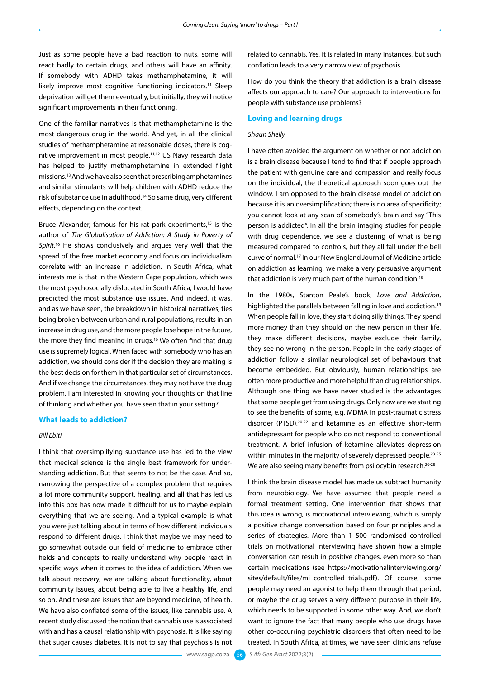Just as some people have a bad reaction to nuts, some will react badly to certain drugs, and others will have an affinity. If somebody with ADHD takes methamphetamine, it will likely improve most cognitive functioning indicators.<sup>11</sup> Sleep deprivation will get them eventually, but initially, they will notice significant improvements in their functioning.

One of the familiar narratives is that methamphetamine is the most dangerous drug in the world. And yet, in all the clinical studies of methamphetamine at reasonable doses, there is cognitive improvement in most people.11,12 US Navy research data has helped to justify methamphetamine in extended flight missions.13 And we have also seen that prescribing amphetamines and similar stimulants will help children with ADHD reduce the risk of substance use in adulthood.14 So same drug, very different effects, depending on the context.

Bruce Alexander, famous for his rat park experiments,<sup>15</sup> is the author of *The Globalisation of Addiction: A Study in Poverty of Spirit*. 16 He shows conclusively and argues very well that the spread of the free market economy and focus on individualism correlate with an increase in addiction. In South Africa, what interests me is that in the Western Cape population, which was the most psychosocially dislocated in South Africa, I would have predicted the most substance use issues. And indeed, it was, and as we have seen, the breakdown in historical narratives, ties being broken between urban and rural populations, results in an increase in drug use, and the more people lose hope in the future, the more they find meaning in drugs.<sup>16</sup> We often find that drug use is supremely logical. When faced with somebody who has an addiction, we should consider if the decision they are making is the best decision for them in that particular set of circumstances. And if we change the circumstances, they may not have the drug problem. I am interested in knowing your thoughts on that line of thinking and whether you have seen that in your setting?

# **What leads to addiction?**

#### *Bill Ebiti*

I think that oversimplifying substance use has led to the view that medical science is the single best framework for understanding addiction. But that seems to not be the case. And so, narrowing the perspective of a complex problem that requires a lot more community support, healing, and all that has led us into this box has now made it difficult for us to maybe explain everything that we are seeing. And a typical example is what you were just talking about in terms of how different individuals respond to different drugs. I think that maybe we may need to go somewhat outside our field of medicine to embrace other fields and concepts to really understand why people react in specific ways when it comes to the idea of addiction. When we talk about recovery, we are talking about functionality, about community issues, about being able to live a healthy life, and so on. And these are issues that are beyond medicine, of health. We have also conflated some of the issues, like cannabis use. A recent study discussed the notion that cannabis use is associated with and has a causal relationship with psychosis. It is like saying that sugar causes diabetes. It is not to say that psychosis is not

related to cannabis. Yes, it is related in many instances, but such conflation leads to a very narrow view of psychosis.

How do you think the theory that addiction is a brain disease affects our approach to care? Our approach to interventions for people with substance use problems?

# **Loving and learning drugs**

#### *Shaun Shelly*

I have often avoided the argument on whether or not addiction is a brain disease because I tend to find that if people approach the patient with genuine care and compassion and really focus on the individual, the theoretical approach soon goes out the window. I am opposed to the brain disease model of addiction because it is an oversimplification; there is no area of specificity; you cannot look at any scan of somebody's brain and say "This person is addicted". In all the brain imaging studies for people with drug dependence, we see a clustering of what is being measured compared to controls, but they all fall under the bell curve of normal.17 In our New England Journal of Medicine article on addiction as learning, we make a very persuasive argument that addiction is very much part of the human condition.<sup>18</sup>

In the 1980s, Stanton Peale's book, *Love and Addiction*, highlighted the parallels between falling in love and addiction.<sup>19</sup> When people fall in love, they start doing silly things. They spend more money than they should on the new person in their life, they make different decisions, maybe exclude their family, they see no wrong in the person. People in the early stages of addiction follow a similar neurological set of behaviours that become embedded. But obviously, human relationships are often more productive and more helpful than drug relationships. Although one thing we have never studied is the advantages that some people get from using drugs. Only now are we starting to see the benefits of some, e.g. MDMA in post-traumatic stress disorder (PTSD),20-22 and ketamine as an effective short-term antidepressant for people who do not respond to conventional treatment. A brief infusion of ketamine alleviates depression within minutes in the majority of severely depressed people.<sup>23-25</sup> We are also seeing many benefits from psilocybin research.<sup>26-28</sup>

I think the brain disease model has made us subtract humanity from neurobiology. We have assumed that people need a formal treatment setting. One intervention that shows that this idea is wrong, is motivational interviewing, which is simply a positive change conversation based on four principles and a series of strategies. More than 1 500 randomised controlled trials on motivational interviewing have shown how a simple conversation can result in positive changes, even more so than certain medications (see https://motivationalinterviewing.org/ sites/default/files/mi\_controlled\_trials.pdf). Of course, some people may need an agonist to help them through that period, or maybe the drug serves a very different purpose in their life, which needs to be supported in some other way. And, we don't want to ignore the fact that many people who use drugs have other co-occurring psychiatric disorders that often need to be treated. In South Africa, at times, we have seen clinicians refuse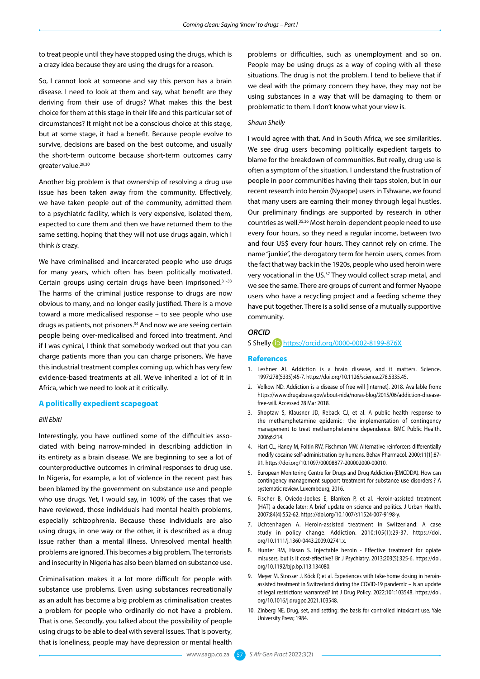to treat people until they have stopped using the drugs, which is a crazy idea because they are using the drugs for a reason.

So, I cannot look at someone and say this person has a brain disease. I need to look at them and say, what benefit are they deriving from their use of drugs? What makes this the best choice for them at this stage in their life and this particular set of circumstances? It might not be a conscious choice at this stage, but at some stage, it had a benefit. Because people evolve to survive, decisions are based on the best outcome, and usually the short-term outcome because short-term outcomes carry greater value.29,30

Another big problem is that ownership of resolving a drug use issue has been taken away from the community. Effectively, we have taken people out of the community, admitted them to a psychiatric facility, which is very expensive, isolated them, expected to cure them and then we have returned them to the same setting, hoping that they will not use drugs again, which I think *is* crazy.

We have criminalised and incarcerated people who use drugs for many years, which often has been politically motivated. Certain groups using certain drugs have been imprisoned.31-33 The harms of the criminal justice response to drugs are now obvious to many, and no longer easily justified. There is a move toward a more medicalised response – to see people who use drugs as patients, not prisoners.<sup>34</sup> And now we are seeing certain people being over-medicalised and forced into treatment. And if I was cynical, I think that somebody worked out that you can charge patients more than you can charge prisoners. We have this industrial treatment complex coming up, which has very few evidence-based treatments at all. We've inherited a lot of it in Africa, which we need to look at it critically.

## **A politically expedient scapegoat**

# *Bill Ebiti*

Interestingly, you have outlined some of the difficulties associated with being narrow-minded in describing addiction in its entirety as a brain disease. We are beginning to see a lot of counterproductive outcomes in criminal responses to drug use. In Nigeria, for example, a lot of violence in the recent past has been blamed by the government on substance use and people who use drugs. Yet, I would say, in 100% of the cases that we have reviewed, those individuals had mental health problems, especially schizophrenia. Because these individuals are also using drugs, in one way or the other, it is described as a drug issue rather than a mental illness. Unresolved mental health problems are ignored. This becomes a big problem. The terrorists and insecurity in Nigeria has also been blamed on substance use.

Criminalisation makes it a lot more difficult for people with substance use problems. Even using substances recreationally as an adult has become a big problem as criminalisation creates a problem for people who ordinarily do not have a problem. That is one. Secondly, you talked about the possibility of people using drugs to be able to deal with several issues. That is poverty, that is loneliness, people may have depression or mental health

problems or difficulties, such as unemployment and so on. People may be using drugs as a way of coping with all these situations. The drug is not the problem. I tend to believe that if we deal with the primary concern they have, they may not be using substances in a way that will be damaging to them or problematic to them. I don't know what your view is.

### *Shaun Shelly*

I would agree with that. And in South Africa, we see similarities. We see drug users becoming politically expedient targets to blame for the breakdown of communities. But really, drug use is often a symptom of the situation. I understand the frustration of people in poor communities having their taps stolen, but in our recent research into heroin (Nyaope) users in Tshwane, we found that many users are earning their money through legal hustles. Our preliminary findings are supported by research in other countries as well.35,36 Most heroin-dependent people need to use every four hours, so they need a regular income, between two and four US\$ every four hours. They cannot rely on crime. The name "junkie", the derogatory term for heroin users, comes from the fact that way back in the 1920s, people who used heroin were very vocational in the US.37 They would collect scrap metal, and we see the same. There are groups of current and former Nyaope users who have a recycling project and a feeding scheme they have put together. There is a solid sense of a mutually supportive community.

# *ORCID*

S Shelly **D** <https://orcid.org/0000-0002-8199-876X>

#### **References**

- 1. Leshner AI. Addiction is a brain disease, and it matters. Science. 1997;278(5335):45-7. https://doi.org/10.1126/science.278.5335.45.
- 2. Volkow ND. Addiction is a disease of free will [Internet]. 2018. Available from: https://www.drugabuse.gov/about-nida/noras-blog/2015/06/addiction-diseasefree-will. Accessed 28 Mar 2018.
- 3. Shoptaw S, Klausner JD, Reback CJ, et al. A public health response to the methamphetamine epidemic : the implementation of contingency management to treat methamphetamine dependence. BMC Public Health. 2006;6:214.
- 4. Hart CL, Haney M, Foltin RW, Fischman MW. Alternative reinforcers differentially modify cocaine self-administration by humans. Behav Pharmacol. 2000;11(1):87- 91. https://doi.org/10.1097/00008877-200002000-00010.
- 5. European Monitoring Centre for Drugs and Drug Addiction (EMCDDA). How can contingency management support treatment for substance use disorders ? A systematic review. Luxembourg; 2016.
- 6. Fischer B, Oviedo-Joekes E, Blanken P, et al. Heroin-assisted treatment (HAT) a decade later: A brief update on science and politics. J Urban Health. 2007;84(4):552-62. https://doi.org/10.1007/s11524-007-9198-y.
- 7. Uchtenhagen A. Heroin-assisted treatment in Switzerland: A case study in policy change. Addiction. 2010;105(1):29-37. https://doi. org/10.1111/j.1360-0443.2009.02741.x.
- 8. Hunter RM, Hasan S. Injectable heroin Effective treatment for opiate misusers, but is it cost-effective? Br J Psychiatry. 2013;203(5):325-6. https://doi. org/10.1192/bjp.bp.113.134080.
- 9. Meyer M, Strasser J, Köck P, et al. Experiences with take-home dosing in heroinassisted treatment in Switzerland during the COVID-19 pandemic – Is an update of legal restrictions warranted? Int J Drug Policy. 2022;101:103548. https://doi. org/10.1016/j.drugpo.2021.103548.
- 10. Zinberg NE. Drug, set, and setting: the basis for controlled intoxicant use. Yale University Press; 1984.